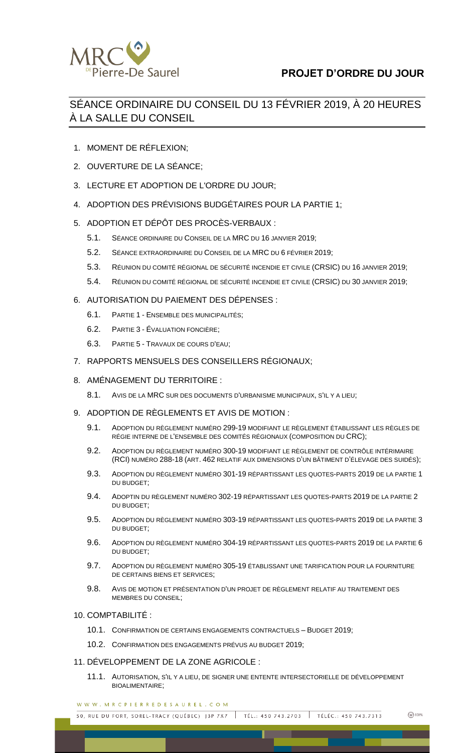

# SÉANCE ORDINAIRE DU CONSEIL DU 13 FÉVRIER 2019, À 20 HEURES À LA SALLE DU CONSEIL

- 1. MOMENT DE RÉFLEXION;
- 2. OUVERTURE DE LA SÉANCE;
- 3. LECTURE ET ADOPTION DE L'ORDRE DU JOUR;
- 4. ADOPTION DES PRÉVISIONS BUDGÉTAIRES POUR LA PARTIE 1;
- 5. ADOPTION ET DÉPÔT DES PROCÈS-VERBAUX :
	- 5.1. SÉANCE ORDINAIRE DU CONSEIL DE LA MRC DU 16 JANVIER 2019;
	- 5.2. SÉANCE EXTRAORDINAIRE DU CONSEIL DE LA MRC DU 6 FÉVRIER 2019;
	- 5.3. RÉUNION DU COMITÉ RÉGIONAL DE SÉCURITÉ INCENDIE ET CIVILE (CRSIC) DU 16 JANVIER 2019;
	- 5.4. RÉUNION DU COMITÉ RÉGIONAL DE SÉCURITÉ INCENDIE ET CIVILE (CRSIC) DU 30 JANVIER 2019;
- 6. AUTORISATION DU PAIEMENT DES DÉPENSES :
	- 6.1. PARTIE 1 ENSEMBLE DES MUNICIPALITÉS;
	- 6.2. PARTIE 3 ÉVALUATION FONCIÈRE;
	- 6.3. PARTIE 5 TRAVAUX DE COURS D'EAU;
- 7. RAPPORTS MENSUELS DES CONSEILLERS RÉGIONAUX;
- 8. AMÉNAGEMENT DU TERRITOIRE :
	- 8.1. AVIS DE LA MRC SUR DES DOCUMENTS D'URBANISME MUNICIPAUX, S'IL Y A LIEU;
- 9. ADOPTION DE RÈGLEMENTS ET AVIS DE MOTION :
	- 9.1. ADOPTION DU RÈGLEMENT NUMÉRO 299-19 MODIFIANT LE RÈGLEMENT ÉTABLISSANT LES RÈGLES DE RÉGIE INTERNE DE L'ENSEMBLE DES COMITÉS RÉGIONAUX (COMPOSITION DU CRC);
	- 9.2. ADOPTION DU RÈGLEMENT NUMÉRO 300-19 MODIFIANT LE RÈGLEMENT DE CONTRÔLE INTÉRIMAIRE (RCI) NUMÉRO 288-18 (ART. 462 RELATIF AUX DIMENSIONS D'UN BÂTIMENT D'ÉLEVAGE DES SUIDÉS);
	- 9.3. ADOPTION DU RÈGLEMENT NUMÉRO 301-19 RÉPARTISSANT LES QUOTES-PARTS 2019 DE LA PARTIE 1 DU BUDGET;
	- 9.4. ADOPTIN DU RÈGLEMENT NUMÉRO 302-19 RÉPARTISSANT LES QUOTES-PARTS 2019 DE LA PARTIE 2 DU BUDGET;
	- 9.5. ADOPTION DU RÈGLEMENT NUMÉRO 303-19 RÉPARTISSANT LES QUOTES-PARTS 2019 DE LA PARTIE 3 DU BUDGET;
	- 9.6. ADOPTION DU RÈGLEMENT NUMÉRO 304-19 RÉPARTISSANT LES QUOTES-PARTS 2019 DE LA PARTIE 6 DU BUDGET;
	- 9.7. ADOPTION DU RÈGLEMENT NUMÉRO 305-19 ÉTABLISSANT UNE TARIFICATION POUR LA FOURNITURE DE CERTAINS BIENS ET SERVICES;
	- 9.8. AVIS DE MOTION ET PRÉSENTATION D'UN PROJET DE RÈGLEMENT RELATIF AU TRAITEMENT DES MEMBRES DU CONSEIL;
- 10. COMPTABILITÉ :
	- 10.1. CONFIRMATION DE CERTAINS ENGAGEMENTS CONTRACTUELS BUDGET 2019;
	- 10.2. CONFIRMATION DES ENGAGEMENTS PRÉVUS AU BUDGET 2019;
- 11. DÉVELOPPEMENT DE LA ZONE AGRICOLE :
	- 11.1. AUTORISATION, S'IL Y A LIEU, DE SIGNER UNE ENTENTE INTERSECTORIELLE DE DÉVELOPPEMENT BIOALIMENTAIRE;

WWW.MRCPIERREDESAUREL.COM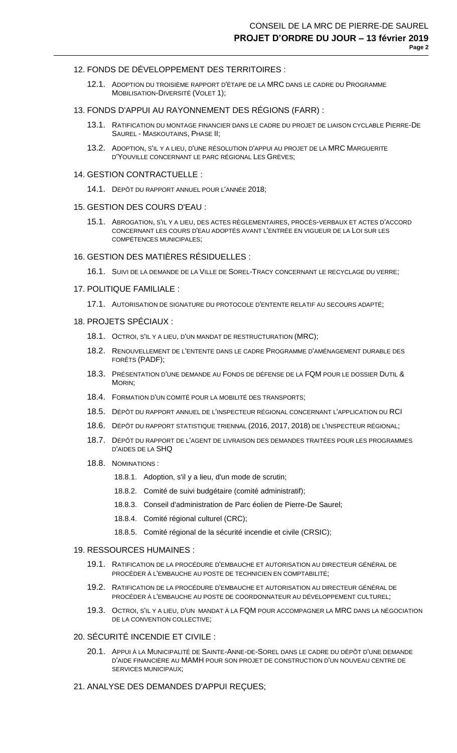## 12. FONDS DE DÉVELOPPEMENT DES TERRITOIRES :

12.1. ADOPTION DU TROISIÈME RAPPORT D'ÉTAPE DE LA MRC DANS LE CADRE DU PROGRAMME MOBILISATION-DIVERSITÉ (VOLET 1);

## 13. FONDS D'APPUI AU RAYONNEMENT DES RÉGIONS (FARR) :

- 13.1. RATIFICATION DU MONTAGE FINANCIER DANS LE CADRE DU PROJET DE LIAISON CYCLABLE PIERRE-DE SAUREL - MASKOUTAINS, PHASE II;
- 13.2. ADOPTION, S'IL Y A LIEU, D'UNE RÉSOLUTION D'APPUI AU PROJET DE LA MRC MARGUERITE D'YOUVILLE CONCERNANT LE PARC RÉGIONAL LES GRÈVES;

#### 14. GESTION CONTRACTUELLE :

14.1. DÉPÔT DU RAPPORT ANNUEL POUR L'ANNÉE 2018;

#### 15. GESTION DES COURS D'EAU :

15.1. ABROGATION, S'IL Y A LIEU, DES ACTES RÈGLEMENTAIRES, PROCÈS-VERBAUX ET ACTES D'ACCORD CONCERNANT LES COURS D'EAU ADOPTÉS AVANT L'ENTRÉE EN VIGUEUR DE LA LOI SUR LES COMPÉTENCES MUNICIPALES;

## 16. GESTION DES MATIÈRES RÉSIDUELLES :

16.1. SUIVI DE LA DEMANDE DE LA VILLE DE SOREL-TRACY CONCERNANT LE RECYCLAGE DU VERRE;

## 17. POLITIQUE FAMILIALE :

- 17.1. AUTORISATION DE SIGNATURE DU PROTOCOLE D'ENTENTE RELATIF AU SECOURS ADAPTÉ;
- 18. PROJETS SPÉCIAUX :
	- 18.1. OCTROI, S'IL Y A LIEU, D'UN MANDAT DE RESTRUCTURATION (MRC);
	- 18.2. RENOUVELLEMENT DE L'ENTENTE DANS LE CADRE PROGRAMME D'AMÉNAGEMENT DURABLE DES FORÊTS (PADF);
	- 18.3. PRÉSENTATION D'UNE DEMANDE AU FONDS DE DÉFENSE DE LA FQM POUR LE DOSSIER DUTIL & MORIN;
	- 18.4. FORMATION D'UN COMITÉ POUR LA MOBILITÉ DES TRANSPORTS;
	- 18.5. DÉPÔT DU RAPPORT ANNUEL DE L'INSPECTEUR RÉGIONAL CONCERNANT L'APPLICATION DU RCI
	- 18.6. DÉPÔT DU RAPPORT STATISTIQUE TRIENNAL (2016, 2017, 2018) DE L'INSPECTEUR RÉGIONAL;
	- 18.7. DÉPÔT DU RAPPORT DE L'AGENT DE LIVRAISON DES DEMANDES TRAITÉES POUR LES PROGRAMMES D'AIDES DE LA SHQ
	- 18.8. NOMINATIONS :
		- 18.8.1. Adoption, s'il y a lieu, d'un mode de scrutin;
		- 18.8.2. Comité de suivi budgétaire (comité administratif);
		- 18.8.3. Conseil d'administration de Parc éolien de Pierre-De Saurel;
		- 18.8.4. Comité régional culturel (CRC);
		- 18.8.5. Comité régional de la sécurité incendie et civile (CRSIC);

## 19. RESSOURCES HUMAINES :

- 19.1. RATIFICATION DE LA PROCÉDURE D'EMBAUCHE ET AUTORISATION AU DIRECTEUR GÉNÉRAL DE PROCÉDER À L'EMBAUCHE AU POSTE DE TECHNICIEN EN COMPTABILITÉ;
- 19.2. RATIFICATION DE LA PROCÉDURE D'EMBAUCHE ET AUTORISATION AU DIRECTEUR GÉNÉRAL DE PROCÉDER À L'EMBAUCHE AU POSTE DE COORDONNATEUR AU DÉVELOPPEMENT CULTUREL;
- 19.3. OCTROI, S'IL Y A LIEU, D'UN MANDAT À LA FQM POUR ACCOMPAGNER LA MRC DANS LA NÉGOCIATION DE LA CONVENTION COLLECTIVE;

## 20. SÉCURITÉ INCENDIE ET CIVILE :

- 20.1. APPUI À LA MUNICIPALITÉ DE SAINTE-ANNE-DE-SOREL DANS LE CADRE DU DÉPÔT D'UNE DEMANDE D'AIDE FINANCIÈRE AU MAMH POUR SON PROJET DE CONSTRUCTION D'UN NOUVEAU CENTRE DE SERVICES MUNICIPAUX;
- 21. ANALYSE DES DEMANDES D'APPUI REÇUES;